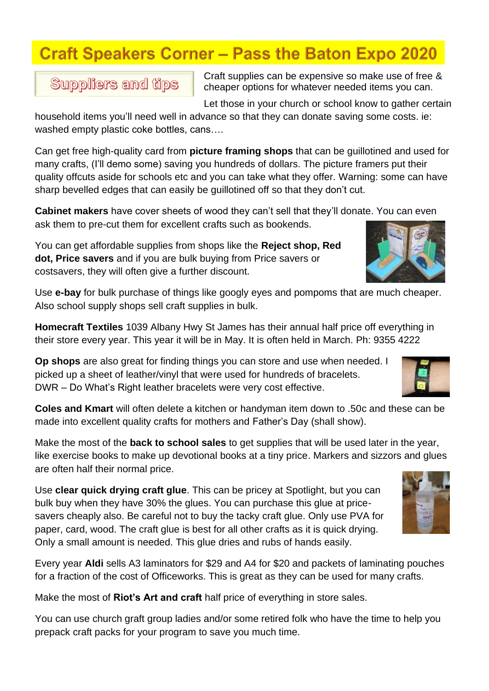# **Craft Speakers Corner - Pass the Baton Expo 2020**

**Suppliers and tips** 

Craft supplies can be expensive so make use of free & cheaper options for whatever needed items you can.

Let those in your church or school know to gather certain

household items you'll need well in advance so that they can donate saving some costs. ie: washed empty plastic coke bottles, cans....

Can get free high-quality card from **picture framing shops** that can be guillotined and used for many crafts, (I'll demo some) saving you hundreds of dollars. The picture framers put their quality offcuts aside for schools etc and you can take what they offer. Warning: some can have sharp bevelled edges that can easily be guillotined off so that they don't cut.

**Cabinet makers** have cover sheets of wood they can't sell that they'll donate. You can even ask them to pre-cut them for excellent crafts such as bookends.

You can get affordable supplies from shops like the **Reject shop, Red dot, Price savers** and if you are bulk buying from Price savers or costsavers, they will often give a further discount.

Use **e-bay** for bulk purchase of things like googly eyes and pompoms that are much cheaper. Also school supply shops sell craft supplies in bulk.

**Homecraft Textiles** 1039 Albany Hwy St James has their annual half price off everything in their store every year. This year it will be in May. It is often held in March. Ph: 9355 4222

**Op shops** are also great for finding things you can store and use when needed. I picked up a sheet of leather/vinyl that were used for hundreds of bracelets. DWR – Do What's Right leather bracelets were very cost effective.

**Coles and Kmart** will often delete a kitchen or handyman item down to .50c and these can be made into excellent quality crafts for mothers and Father's Day (shall show).

Make the most of the **back to school sales** to get supplies that will be used later in the year, like exercise books to make up devotional books at a tiny price. Markers and sizzors and glues are often half their normal price.

Use **clear quick drying craft glue**. This can be pricey at Spotlight, but you can bulk buy when they have 30% the glues. You can purchase this glue at pricesavers cheaply also. Be careful not to buy the tacky craft glue. Only use PVA for paper, card, wood. The craft glue is best for all other crafts as it is quick drying. Only a small amount is needed. This glue dries and rubs of hands easily.

Every year **Aldi** sells A3 laminators for \$29 and A4 for \$20 and packets of laminating pouches for a fraction of the cost of Officeworks. This is great as they can be used for many crafts.

Make the most of **Riot's Art and craft** half price of everything in store sales.

You can use church graft group ladies and/or some retired folk who have the time to help you prepack craft packs for your program to save you much time.